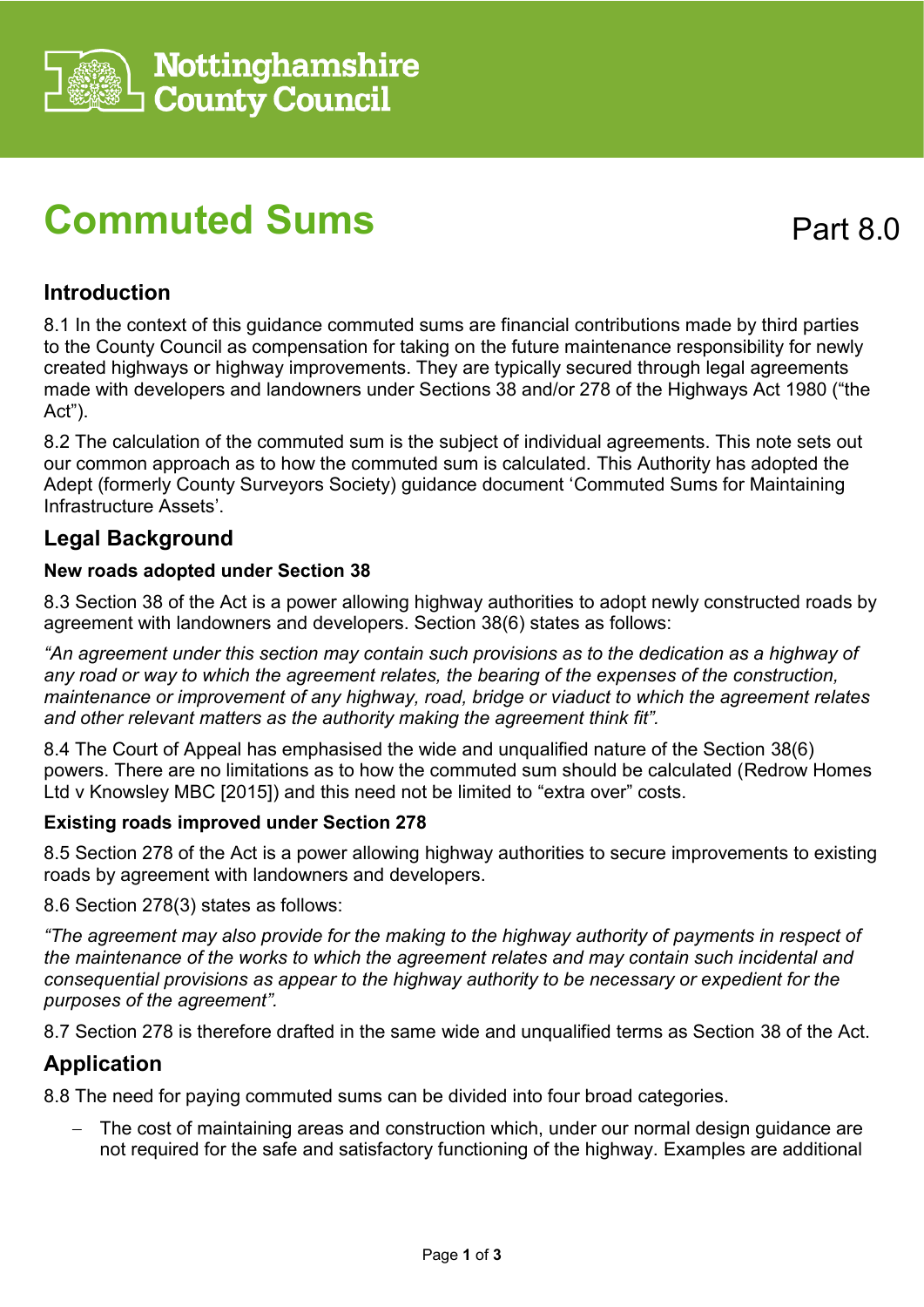

# **Commuted Sums**

# **Introduction**

8.1 In the context of this guidance commuted sums are financial contributions made by third parties to the County Council as compensation for taking on the future maintenance responsibility for newly created highways or highway improvements. They are typically secured through legal agreements made with developers and landowners under Sections 38 and/or 278 of the Highways Act 1980 ("the Act").

8.2 The calculation of the commuted sum is the subject of individual agreements. This note sets out our common approach as to how the commuted sum is calculated. This Authority has adopted the Adept (formerly County Surveyors Society) guidance document 'Commuted Sums for Maintaining Infrastructure Assets'.

# **Legal Background**

#### **New roads adopted under Section 38**

8.3 Section 38 of the Act is a power allowing highway authorities to adopt newly constructed roads by agreement with landowners and developers. Section 38(6) states as follows:

*"An agreement under this section may contain such provisions as to the dedication as a highway of any road or way to which the agreement relates, the bearing of the expenses of the construction, maintenance or improvement of any highway, road, bridge or viaduct to which the agreement relates and other relevant matters as the authority making the agreement think fit".*

8.4 The Court of Appeal has emphasised the wide and unqualified nature of the Section 38(6) powers. There are no limitations as to how the commuted sum should be calculated (Redrow Homes Ltd v Knowsley MBC [2015]) and this need not be limited to "extra over" costs.

#### **Existing roads improved under Section 278**

8.5 Section 278 of the Act is a power allowing highway authorities to secure improvements to existing roads by agreement with landowners and developers.

8.6 Section 278(3) states as follows:

*"The agreement may also provide for the making to the highway authority of payments in respect of the maintenance of the works to which the agreement relates and may contain such incidental and consequential provisions as appear to the highway authority to be necessary or expedient for the purposes of the agreement".*

8.7 Section 278 is therefore drafted in the same wide and unqualified terms as Section 38 of the Act.

#### **Application**

8.8 The need for paying commuted sums can be divided into four broad categories.

The cost of maintaining areas and construction which, under our normal design guidance are not required for the safe and satisfactory functioning of the highway. Examples are additional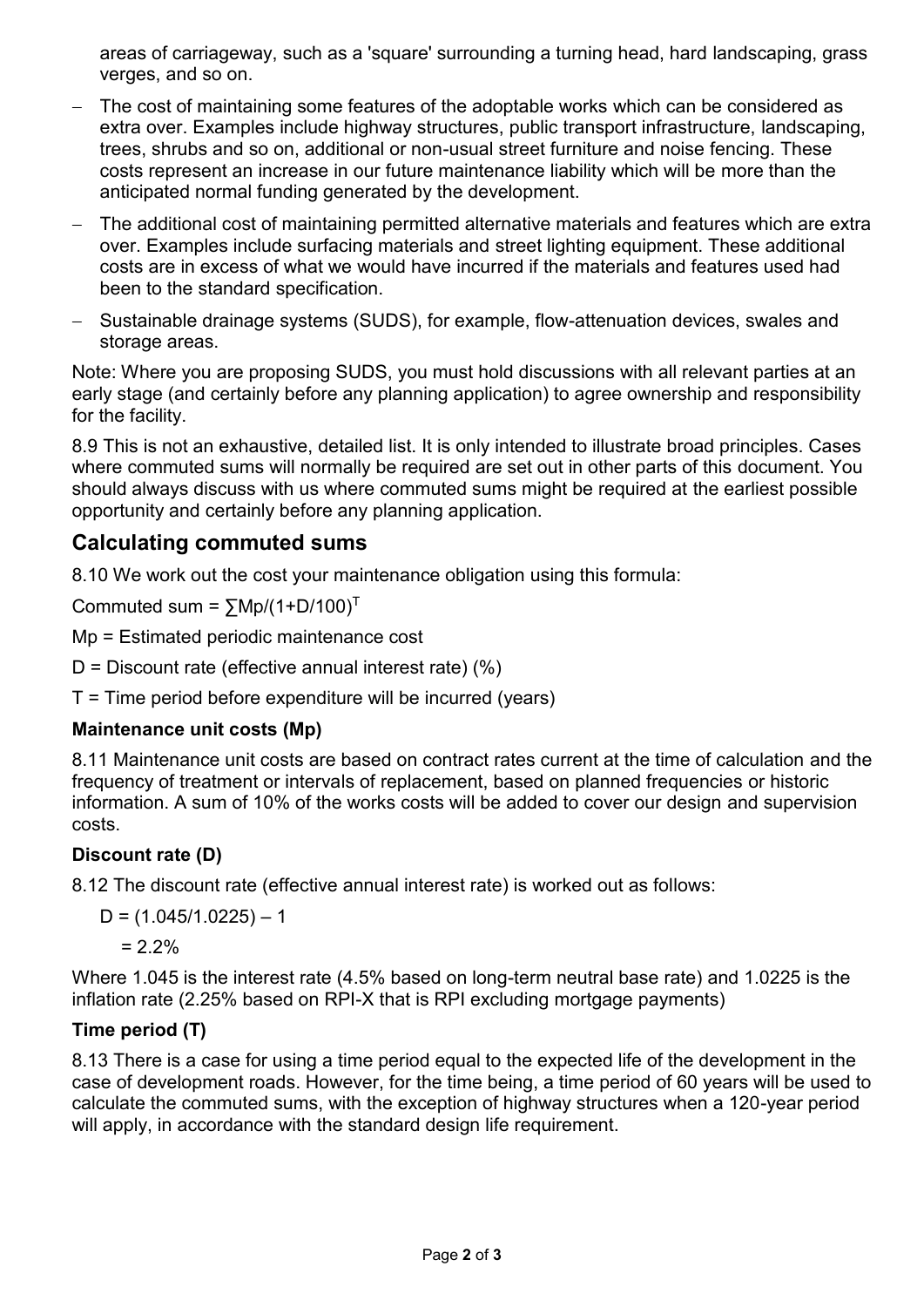areas of carriageway, such as a 'square' surrounding a turning head, hard landscaping, grass verges, and so on.

- The cost of maintaining some features of the adoptable works which can be considered as extra over. Examples include highway structures, public transport infrastructure, landscaping, trees, shrubs and so on, additional or non-usual street furniture and noise fencing. These costs represent an increase in our future maintenance liability which will be more than the anticipated normal funding generated by the development.
- The additional cost of maintaining permitted alternative materials and features which are extra over. Examples include surfacing materials and street lighting equipment. These additional costs are in excess of what we would have incurred if the materials and features used had been to the standard specification.
- − Sustainable drainage systems (SUDS), for example, flow-attenuation devices, swales and storage areas.

Note: Where you are proposing SUDS, you must hold discussions with all relevant parties at an early stage (and certainly before any planning application) to agree ownership and responsibility for the facility.

8.9 This is not an exhaustive, detailed list. It is only intended to illustrate broad principles. Cases where commuted sums will normally be required are set out in other parts of this document. You should always discuss with us where commuted sums might be required at the earliest possible opportunity and certainly before any planning application.

# **Calculating commuted sums**

8.10 We work out the cost your maintenance obligation using this formula:

Commuted sum =  $\sum M_D/(1+D/100)^T$ 

Mp = Estimated periodic maintenance cost

 $D =$  Discount rate (effective annual interest rate) (%)

T = Time period before expenditure will be incurred (years)

#### **Maintenance unit costs (Mp)**

8.11 Maintenance unit costs are based on contract rates current at the time of calculation and the frequency of treatment or intervals of replacement, based on planned frequencies or historic information. A sum of 10% of the works costs will be added to cover our design and supervision costs.

## **Discount rate (D)**

8.12 The discount rate (effective annual interest rate) is worked out as follows:

$$
D = (1.045/1.0225) - 1
$$

 $= 2.2\%$ 

Where 1.045 is the interest rate (4.5% based on long-term neutral base rate) and 1.0225 is the inflation rate (2.25% based on RPI-X that is RPI excluding mortgage payments)

## **Time period (T)**

8.13 There is a case for using a time period equal to the expected life of the development in the case of development roads. However, for the time being, a time period of 60 years will be used to calculate the commuted sums, with the exception of highway structures when a 120-year period will apply, in accordance with the standard design life requirement.